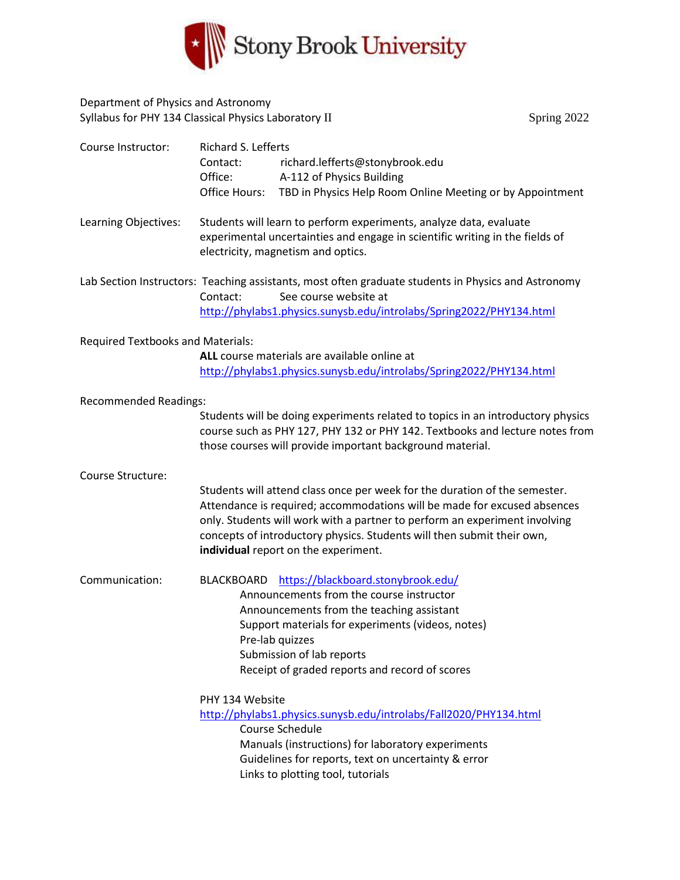

## Department of Physics and Astronomy Syllabus for PHY 134 Classical Physics Laboratory II Spring 2022 Spring 2022

| Course Instructor:                       | Richard S. Lefferts                                                                                                                      |
|------------------------------------------|------------------------------------------------------------------------------------------------------------------------------------------|
|                                          | richard.lefferts@stonybrook.edu<br>Contact:                                                                                              |
|                                          | Office:<br>A-112 of Physics Building                                                                                                     |
|                                          | Office Hours:<br>TBD in Physics Help Room Online Meeting or by Appointment                                                               |
| Learning Objectives:                     | Students will learn to perform experiments, analyze data, evaluate                                                                       |
|                                          | experimental uncertainties and engage in scientific writing in the fields of                                                             |
|                                          | electricity, magnetism and optics.                                                                                                       |
|                                          | Lab Section Instructors: Teaching assistants, most often graduate students in Physics and Astronomy<br>See course website at<br>Contact: |
|                                          | http://phylabs1.physics.sunysb.edu/introlabs/Spring2022/PHY134.html                                                                      |
|                                          |                                                                                                                                          |
| <b>Required Textbooks and Materials:</b> |                                                                                                                                          |
|                                          | ALL course materials are available online at                                                                                             |
|                                          | http://phylabs1.physics.sunysb.edu/introlabs/Spring2022/PHY134.html                                                                      |
|                                          |                                                                                                                                          |
| <b>Recommended Readings:</b>             |                                                                                                                                          |
|                                          | Students will be doing experiments related to topics in an introductory physics                                                          |
|                                          | course such as PHY 127, PHY 132 or PHY 142. Textbooks and lecture notes from                                                             |
|                                          | those courses will provide important background material.                                                                                |
| Course Structure:                        |                                                                                                                                          |
|                                          | Students will attend class once per week for the duration of the semester.                                                               |
|                                          | Attendance is required; accommodations will be made for excused absences                                                                 |
|                                          | only. Students will work with a partner to perform an experiment involving                                                               |
|                                          | concepts of introductory physics. Students will then submit their own,                                                                   |
|                                          | individual report on the experiment.                                                                                                     |
|                                          |                                                                                                                                          |
| Communication:                           | https://blackboard.stonybrook.edu/<br><b>BLACKBOARD</b>                                                                                  |
|                                          | Announcements from the course instructor                                                                                                 |
|                                          | Announcements from the teaching assistant                                                                                                |
|                                          | Support materials for experiments (videos, notes)                                                                                        |
|                                          | Pre-lab quizzes                                                                                                                          |
|                                          | Submission of lab reports                                                                                                                |
|                                          | Receipt of graded reports and record of scores                                                                                           |
|                                          | PHY 134 Website                                                                                                                          |
|                                          | http://phylabs1.physics.sunysb.edu/introlabs/Fall2020/PHY134.html                                                                        |
|                                          | Course Schedule                                                                                                                          |
|                                          | Manuals (instructions) for laboratory experiments                                                                                        |
|                                          | Guidelines for reports, text on uncertainty & error                                                                                      |
|                                          | Links to plotting tool, tutorials                                                                                                        |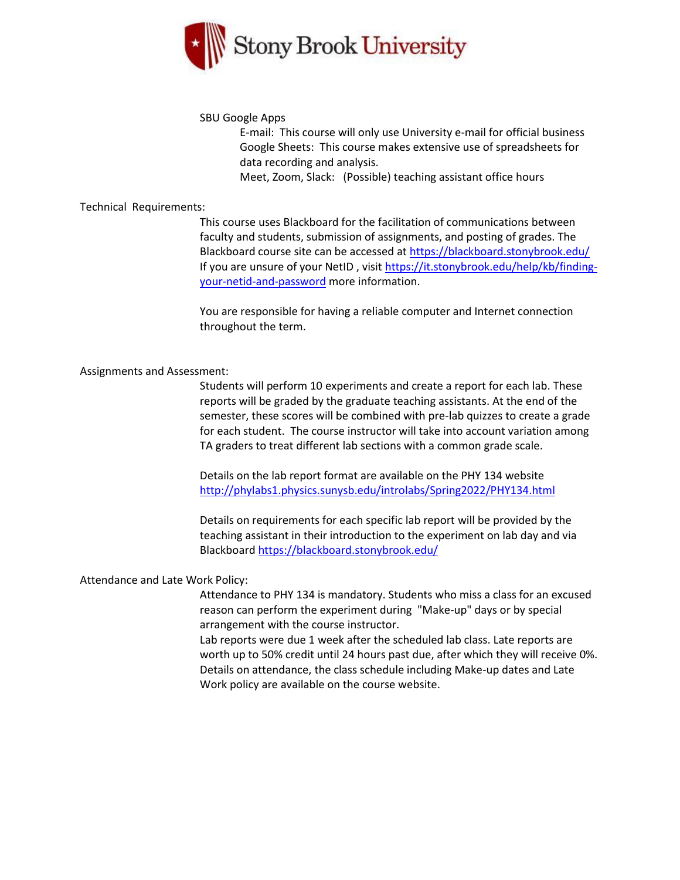

#### SBU Google Apps

E-mail: This course will only use University e-mail for official business Google Sheets: This course makes extensive use of spreadsheets for data recording and analysis.

Meet, Zoom, Slack: (Possible) teaching assistant office hours

#### Technical Requirements:

This course uses Blackboard for the facilitation of communications between faculty and students, submission of assignments, and posting of grades. The Blackboard course site can be accessed at<https://blackboard.stonybrook.edu/> If you are unsure of your NetID , visi[t https://it.stonybrook.edu/help/kb/finding](https://it.stonybrook.edu/help/kb/finding-your-netid-and-password)[your-netid-and-password](https://it.stonybrook.edu/help/kb/finding-your-netid-and-password) more information.

You are responsible for having a reliable computer and Internet connection throughout the term.

#### Assignments and Assessment:

Students will perform 10 experiments and create a report for each lab. These reports will be graded by the graduate teaching assistants. At the end of the semester, these scores will be combined with pre-lab quizzes to create a grade for each student. The course instructor will take into account variation among TA graders to treat different lab sections with a common grade scale.

Details on the lab report format are available on the PHY 134 website <http://phylabs1.physics.sunysb.edu/introlabs/Spring2022/PHY134.html>

Details on requirements for each specific lab report will be provided by the teaching assistant in their introduction to the experiment on lab day and via Blackboar[d https://blackboard.stonybrook.edu/](https://blackboard.stonybrook.edu/)

### Attendance and Late Work Policy:

Attendance to PHY 134 is mandatory. Students who miss a class for an excused reason can perform the experiment during "Make-up" days or by special arrangement with the course instructor.

Lab reports were due 1 week after the scheduled lab class. Late reports are worth up to 50% credit until 24 hours past due, after which they will receive 0%. Details on attendance, the class schedule including Make-up dates and Late Work policy are available on the course website.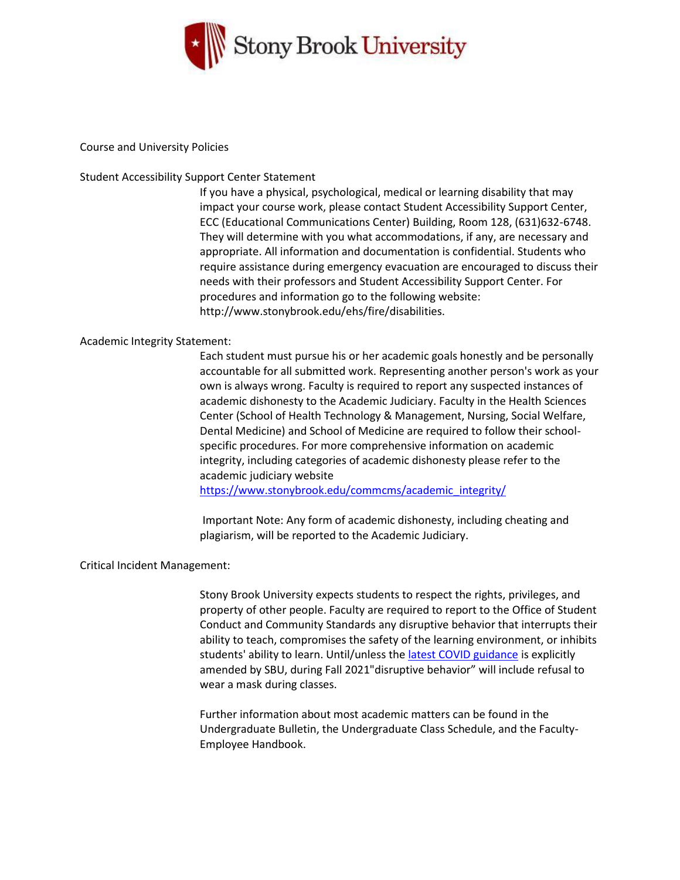

#### Course and University Policies

#### Student Accessibility Support Center Statement

If you have a physical, psychological, medical or learning disability that may impact your course work, please contact Student Accessibility Support Center, ECC (Educational Communications Center) Building, Room 128, (631)632-6748. They will determine with you what accommodations, if any, are necessary and appropriate. All information and documentation is confidential. Students who require assistance during emergency evacuation are encouraged to discuss their needs with their professors and Student Accessibility Support Center. For procedures and information go to the following website: http://www.stonybrook.edu/ehs/fire/disabilities.

#### Academic Integrity Statement:

Each student must pursue his or her academic goals honestly and be personally accountable for all submitted work. Representing another person's work as your own is always wrong. Faculty is required to report any suspected instances of academic dishonesty to the Academic Judiciary. Faculty in the Health Sciences Center (School of Health Technology & Management, Nursing, Social Welfare, Dental Medicine) and School of Medicine are required to follow their schoolspecific procedures. For more comprehensive information on academic integrity, including categories of academic dishonesty please refer to the academic judiciary website

[https://www.stonybrook.edu/commcms/academic\\_integrity/](https://www.stonybrook.edu/commcms/academic_integrity/)

Important Note: Any form of academic dishonesty, including cheating and plagiarism, will be reported to the Academic Judiciary.

#### Critical Incident Management:

Stony Brook University expects students to respect the rights, privileges, and property of other people. Faculty are required to report to the Office of Student Conduct and Community Standards any disruptive behavior that interrupts their ability to teach, compromises the safety of the learning environment, or inhibits students' ability to learn. Until/unless the [latest COVID guidance](https://r20.rs6.net/tn.jsp?f=001OnQcHr9tWpezd0Z1V12uij9JXzLfrfZtklNDhN_xgfNyT1mkOADleeDjUdOgt_wcXlEV3OeMDjIiCDb8gPwO7Xj9Fxgb0xQNp9VxYfK4maFQRSQstetWcjpteXwQko5OM-MczeE4Z_PkpMRkyRqqxE7jp-_0Qr79DQB74OjA4RnLy5YQOxdNvz_KyjDP3yS1c4XzD-MCoj8=&c=jUWzXLEc3rdUz7IHNOscY_ch4dC-PyV9cRoo0c5kT01T6wndQTUgmg==&ch=bcAzc5cQpnp6BErqW_U_iX_hoQC4IE22LcmI287RET3qn3yi42PjEg==) is explicitly amended by SBU, during Fall 2021"disruptive behavior" will include refusal to wear a mask during classes.

Further information about most academic matters can be found in the Undergraduate Bulletin, the Undergraduate Class Schedule, and the Faculty-Employee Handbook.